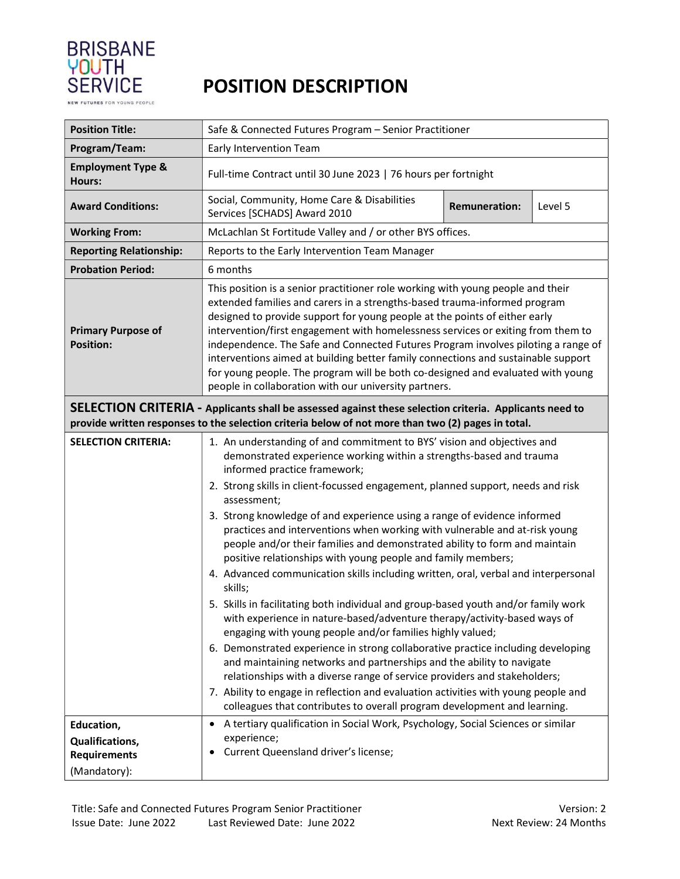

NEW FUTURES FOR YOUNG PEOPLE

## POSITION DESCRIPTION

| <b>Position Title:</b>                                                                                                                                                                                       | Safe & Connected Futures Program - Senior Practitioner                                                                                                                                                                                                                                                                                                                                                                                                                                                                                                                                                                                                                                                                                                                                                                                                                                                                                                                                                                                                                                                                                                                                                                                                                                                                               |  |  |  |  |  |  |
|--------------------------------------------------------------------------------------------------------------------------------------------------------------------------------------------------------------|--------------------------------------------------------------------------------------------------------------------------------------------------------------------------------------------------------------------------------------------------------------------------------------------------------------------------------------------------------------------------------------------------------------------------------------------------------------------------------------------------------------------------------------------------------------------------------------------------------------------------------------------------------------------------------------------------------------------------------------------------------------------------------------------------------------------------------------------------------------------------------------------------------------------------------------------------------------------------------------------------------------------------------------------------------------------------------------------------------------------------------------------------------------------------------------------------------------------------------------------------------------------------------------------------------------------------------------|--|--|--|--|--|--|
| Program/Team:                                                                                                                                                                                                | Early Intervention Team                                                                                                                                                                                                                                                                                                                                                                                                                                                                                                                                                                                                                                                                                                                                                                                                                                                                                                                                                                                                                                                                                                                                                                                                                                                                                                              |  |  |  |  |  |  |
| <b>Employment Type &amp;</b><br>Hours:                                                                                                                                                                       | Full-time Contract until 30 June 2023   76 hours per fortnight                                                                                                                                                                                                                                                                                                                                                                                                                                                                                                                                                                                                                                                                                                                                                                                                                                                                                                                                                                                                                                                                                                                                                                                                                                                                       |  |  |  |  |  |  |
| <b>Award Conditions:</b>                                                                                                                                                                                     | Social, Community, Home Care & Disabilities<br><b>Remuneration:</b><br>Level 5<br>Services [SCHADS] Award 2010                                                                                                                                                                                                                                                                                                                                                                                                                                                                                                                                                                                                                                                                                                                                                                                                                                                                                                                                                                                                                                                                                                                                                                                                                       |  |  |  |  |  |  |
| <b>Working From:</b>                                                                                                                                                                                         | McLachlan St Fortitude Valley and / or other BYS offices.                                                                                                                                                                                                                                                                                                                                                                                                                                                                                                                                                                                                                                                                                                                                                                                                                                                                                                                                                                                                                                                                                                                                                                                                                                                                            |  |  |  |  |  |  |
| <b>Reporting Relationship:</b>                                                                                                                                                                               | Reports to the Early Intervention Team Manager                                                                                                                                                                                                                                                                                                                                                                                                                                                                                                                                                                                                                                                                                                                                                                                                                                                                                                                                                                                                                                                                                                                                                                                                                                                                                       |  |  |  |  |  |  |
| <b>Probation Period:</b>                                                                                                                                                                                     | 6 months                                                                                                                                                                                                                                                                                                                                                                                                                                                                                                                                                                                                                                                                                                                                                                                                                                                                                                                                                                                                                                                                                                                                                                                                                                                                                                                             |  |  |  |  |  |  |
| <b>Primary Purpose of</b><br><b>Position:</b>                                                                                                                                                                | This position is a senior practitioner role working with young people and their<br>extended families and carers in a strengths-based trauma-informed program<br>designed to provide support for young people at the points of either early<br>intervention/first engagement with homelessness services or exiting from them to<br>independence. The Safe and Connected Futures Program involves piloting a range of<br>interventions aimed at building better family connections and sustainable support<br>for young people. The program will be both co-designed and evaluated with young<br>people in collaboration with our university partners.                                                                                                                                                                                                                                                                                                                                                                                                                                                                                                                                                                                                                                                                                 |  |  |  |  |  |  |
| SELECTION CRITERIA - Applicants shall be assessed against these selection criteria. Applicants need to<br>provide written responses to the selection criteria below of not more than two (2) pages in total. |                                                                                                                                                                                                                                                                                                                                                                                                                                                                                                                                                                                                                                                                                                                                                                                                                                                                                                                                                                                                                                                                                                                                                                                                                                                                                                                                      |  |  |  |  |  |  |
| <b>SELECTION CRITERIA:</b>                                                                                                                                                                                   | 1. An understanding of and commitment to BYS' vision and objectives and<br>demonstrated experience working within a strengths-based and trauma<br>informed practice framework;<br>2. Strong skills in client-focussed engagement, planned support, needs and risk<br>assessment;<br>3. Strong knowledge of and experience using a range of evidence informed<br>practices and interventions when working with vulnerable and at-risk young<br>people and/or their families and demonstrated ability to form and maintain<br>positive relationships with young people and family members;<br>4. Advanced communication skills including written, oral, verbal and interpersonal<br>skills;<br>5. Skills in facilitating both individual and group-based youth and/or family work<br>with experience in nature-based/adventure therapy/activity-based ways of<br>engaging with young people and/or families highly valued;<br>6. Demonstrated experience in strong collaborative practice including developing<br>and maintaining networks and partnerships and the ability to navigate<br>relationships with a diverse range of service providers and stakeholders;<br>7. Ability to engage in reflection and evaluation activities with young people and<br>colleagues that contributes to overall program development and learning. |  |  |  |  |  |  |
| Education,<br>Qualifications,<br><b>Requirements</b><br>(Mandatory):                                                                                                                                         | A tertiary qualification in Social Work, Psychology, Social Sciences or similar<br>$\bullet$<br>experience;<br>Current Queensland driver's license;                                                                                                                                                                                                                                                                                                                                                                                                                                                                                                                                                                                                                                                                                                                                                                                                                                                                                                                                                                                                                                                                                                                                                                                  |  |  |  |  |  |  |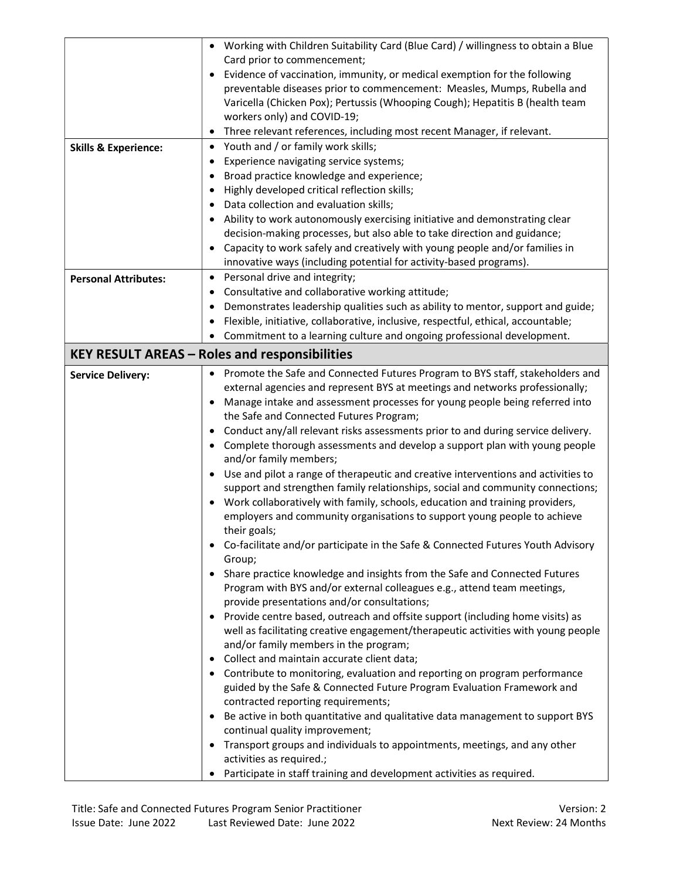|                                 | Working with Children Suitability Card (Blue Card) / willingness to obtain a Blue               |  |  |
|---------------------------------|-------------------------------------------------------------------------------------------------|--|--|
|                                 | Card prior to commencement;                                                                     |  |  |
|                                 | Evidence of vaccination, immunity, or medical exemption for the following                       |  |  |
|                                 | preventable diseases prior to commencement: Measles, Mumps, Rubella and                         |  |  |
|                                 | Varicella (Chicken Pox); Pertussis (Whooping Cough); Hepatitis B (health team                   |  |  |
|                                 | workers only) and COVID-19;                                                                     |  |  |
|                                 | Three relevant references, including most recent Manager, if relevant.<br>$\bullet$             |  |  |
| <b>Skills &amp; Experience:</b> | Youth and / or family work skills;                                                              |  |  |
|                                 | Experience navigating service systems;<br>٠                                                     |  |  |
|                                 | Broad practice knowledge and experience;<br>٠                                                   |  |  |
|                                 | Highly developed critical reflection skills;                                                    |  |  |
|                                 | Data collection and evaluation skills;                                                          |  |  |
|                                 | Ability to work autonomously exercising initiative and demonstrating clear<br>$\bullet$         |  |  |
|                                 | decision-making processes, but also able to take direction and guidance;                        |  |  |
|                                 | Capacity to work safely and creatively with young people and/or families in                     |  |  |
|                                 | innovative ways (including potential for activity-based programs).                              |  |  |
| <b>Personal Attributes:</b>     | Personal drive and integrity;<br>$\bullet$                                                      |  |  |
|                                 | Consultative and collaborative working attitude;<br>$\bullet$                                   |  |  |
|                                 | Demonstrates leadership qualities such as ability to mentor, support and guide;<br>٠            |  |  |
|                                 | Flexible, initiative, collaborative, inclusive, respectful, ethical, accountable;               |  |  |
|                                 | Commitment to a learning culture and ongoing professional development.<br>٠                     |  |  |
|                                 |                                                                                                 |  |  |
|                                 | <b>KEY RESULT AREAS - Roles and responsibilities</b>                                            |  |  |
| <b>Service Delivery:</b>        | • Promote the Safe and Connected Futures Program to BYS staff, stakeholders and                 |  |  |
|                                 | external agencies and represent BYS at meetings and networks professionally;                    |  |  |
|                                 | Manage intake and assessment processes for young people being referred into<br>٠                |  |  |
|                                 | the Safe and Connected Futures Program;                                                         |  |  |
|                                 | Conduct any/all relevant risks assessments prior to and during service delivery.<br>$\bullet$   |  |  |
|                                 | Complete thorough assessments and develop a support plan with young people<br>٠                 |  |  |
|                                 | and/or family members;                                                                          |  |  |
|                                 | Use and pilot a range of therapeutic and creative interventions and activities to<br>$\bullet$  |  |  |
|                                 | support and strengthen family relationships, social and community connections;                  |  |  |
|                                 | Work collaboratively with family, schools, education and training providers,<br>٠               |  |  |
|                                 | employers and community organisations to support young people to achieve                        |  |  |
|                                 | their goals;<br>Co-facilitate and/or participate in the Safe & Connected Futures Youth Advisory |  |  |
|                                 | Group;                                                                                          |  |  |
|                                 | Share practice knowledge and insights from the Safe and Connected Futures<br>$\bullet$          |  |  |
|                                 | Program with BYS and/or external colleagues e.g., attend team meetings,                         |  |  |
|                                 | provide presentations and/or consultations;                                                     |  |  |
|                                 | Provide centre based, outreach and offsite support (including home visits) as<br>٠              |  |  |
|                                 | well as facilitating creative engagement/therapeutic activities with young people               |  |  |
|                                 | and/or family members in the program;                                                           |  |  |
|                                 | Collect and maintain accurate client data;<br>$\bullet$                                         |  |  |
|                                 | • Contribute to monitoring, evaluation and reporting on program performance                     |  |  |
|                                 | guided by the Safe & Connected Future Program Evaluation Framework and                          |  |  |
|                                 | contracted reporting requirements;                                                              |  |  |
|                                 | Be active in both quantitative and qualitative data management to support BYS<br>٠              |  |  |
|                                 | continual quality improvement;                                                                  |  |  |
|                                 | Transport groups and individuals to appointments, meetings, and any other<br>٠                  |  |  |
|                                 | activities as required.;                                                                        |  |  |
|                                 | Participate in staff training and development activities as required.<br>$\bullet$              |  |  |